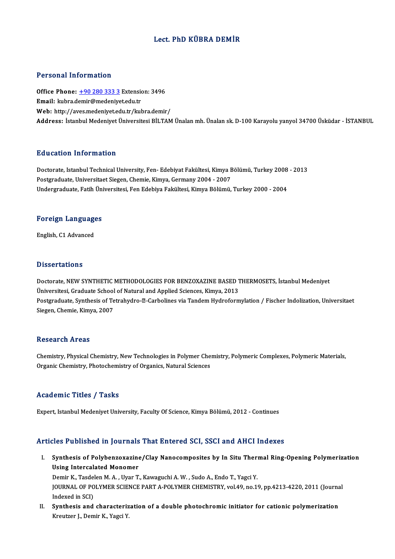## Lect. PhD KÜBRA DEMİR

#### Personal Information

Personal Information<br>Office Phone: <u>+90 280 333 3</u> Extension: 3496<br>Email: Juhra demir@medeniyet.edu.tr Processian Information<br>Office Phone: <u>+90 280 333 3</u> Extension<br>Email: kubra.d[emir@medeniye](tel:+90 280 333 3)t.edu.tr Office Phone: <u>+90 280 333 3</u> Extension: 3496<br>Email: kubra.demir@medeniyet.edu.tr<br>Web: http://aves.medeniyet.edu.tr/kubra.demir/<br>Address. Istanbul Medeniyet.<sup>(</sup>Iniversitesi PU TAM Email: kubra.demir@medeniyet.edu.tr<br>Web: http://aves.medeniyet.edu.tr/kubra.demir/<br>Address: İstanbul Medeniyet Üniversitesi BİLTAM Ünalan mh. Ünalan sk. D-100 Karayolu yanyol 34700 Üsküdar - İSTANBUL

#### Education Information

Education Information<br>Doctorate, Istanbul Technical University, Fen- Edebiyat Fakültesi, Kimya Bölümü, Turkey 2008 - 2013<br>Bostanaduate Universitest Siegen Chamie Kimya Cermany 2004 - 2007 Pu u currom minomaterom<br>Doctorate, Istanbul Technical University, Fen- Edebiyat Fakültesi, Kimya E<br>Postgraduate, Universitaet Siegen, Chemie, Kimya, Germany 2004 - 2007<br>Undergraduate, Fatih Üniversitesi, Fen Edebiya, Fakül Doctorate, Istanbul Technical University, Fen- Edebiyat Fakültesi, Kimya Bölümü, Turkey 2008<br>Postgraduate, Universitaet Siegen, Chemie, Kimya, Germany 2004 - 2007<br>Undergraduate, Fatih Üniversitesi, Fen Edebiya Fakültesi, K

# <sub>ondergraduate, ratin on:</sub><br>Foreign Languages F<mark>oreign Languag</mark>e<br>English, C1 Advanced

English, C1 Advanced<br>Dissertations

Dissertations<br>Doctorate, NEW SYNTHETIC METHODOLOGIES FOR BENZOXAZINE BASED THERMOSETS, İstanbul Medeniyet<br>Üniversitesi Craduata School of Natural and Annlied Sciences, Kimua, 2012 Dissol deliging<br>Doctorate, NEW SYNTHETIC METHODOLOGIES FOR BENZOXAZINE BASED 1<br>Üniversitesi, Graduate School of Natural and Applied Sciences, Kimya, 2013<br>Bostanaduate Synthesis of Tetrahydro <sup>52</sup> Carbolines via Tandom Hydr Doctorate, NEW SYNTHETIC METHODOLOGIES FOR BENZOXAZINE BASED THERMOSETS, İstanbul Medeniyet<br>Üniversitesi, Graduate School of Natural and Applied Sciences, Kimya, 2013<br>Postgraduate, Synthesis of Tetrahydro-@-Carbolines via Üniversitesi, Graduate School<br>Postgraduate, Synthesis of Te<br>Siegen, Chemie, Kimya, 2007 Siegen, Chemie, Kimya, 2007<br>Research Areas

Chemistry, Physical Chemistry, New Technologies in Polymer Chemistry, Polymeric Complexes, Polymeric Materials, Organic Chemistry, Photochemistry of Organics, Natural Sciences

#### Academic Titles / Tasks

Expert, Istanbul Medeniyet University, Faculty Of Science, Kimya Bölümü, 2012 - Continues

#### Articles Published in Journals That Entered SCI, SSCI and AHCI Indexes

- rticles Published in Journals That Entered SCI, SSCI and AHCI Indexes<br>I. Synthesis of Polybenzoxazine/Clay Nanocomposites by In Situ Thermal Ring-Opening Polymerization<br>Using Interselated Monomer Synthesis of Polybenzoxazine<br>Using Intercalated Monomer<br>Domin K. Taadalan M.A., Uyan T Synthesis of Polybenzoxazine/Clay Nanocomposites by In Situ Ther:<br>Using Intercalated Monomer<br>Demir K., Tasdelen M. A. , Uyar T., Kawaguchi A. W. , Sudo A., Endo T., Yagci Y.<br>JOUPMAL OF POLYMER SCIENCE RART A POLYMER CHEMIS Using Intercalated Monomer<br>Demir K., Tasdelen M. A. , Uyar T., Kawaguchi A. W. , Sudo A., Endo T., Yagci Y.<br>JOURNAL OF POLYMER SCIENCE PART A-POLYMER CHEMISTRY, vol.49, no.19, pp.4213-4220, 2011 (Journal<br>Indexed in SCI) Demir K., Tasde<br>JOURNAL OF PO<br>Indexed in SCI)<br>Synthosis and
- II. Synthesis and characterization of a double photochromic initiator for cationic polymerization Kreutzer J., Demir K., Yagci Y.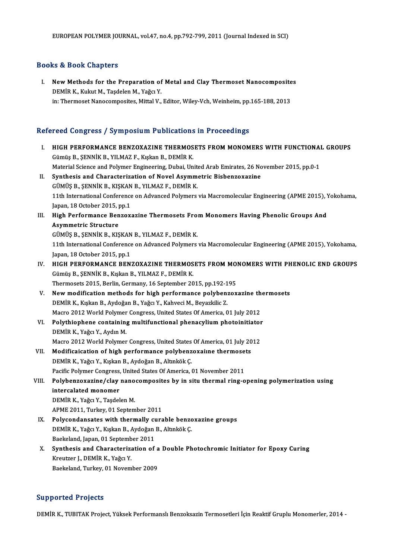## Books&Book Chapters

I. New Methods for the Preparation of Metal and Clay Thermoset Nanocomposites DEMİR K., Kukut M., Taşdelen M., Yağcı Y. in: Thermoset Nanocomposites, Mittal V., Editor, Wiley-Vch, Weinheim, pp.165-188, 2013

# m: Inermoset Nanocomposites, Mittal V., Editor, Wiley-Vch, Weinhelm, pp.<br>Refereed Congress / Symposium Publications in Proceedings

| Refereed Congress / Symposium Publications in Proceedings |                                                                                                          |
|-----------------------------------------------------------|----------------------------------------------------------------------------------------------------------|
| Ι.                                                        | HIGH PERFORMANCE BENZOXAZINE THERMOSETS FROM MONOMERS WITH FUNCTIONAL GROUPS                             |
|                                                           | Gümüş B., ŞENNİK B., YILMAZ F., Kışkan B., DEMİR K.                                                      |
|                                                           | Material Science and Polymer Engineering, Dubai, United Arab Emirates, 26 November 2015, pp.0-1          |
| П.                                                        | Synthesis and Characterization of Novel Asymmetric Bisbenzoxazine                                        |
|                                                           | GÜMÜŞ B., ŞENNİK B., KIŞKAN B., YILMAZ F., DEMİR K.                                                      |
|                                                           | 11th International Conference on Advanced Polymers via Macromolecular Engineering (APME 2015), Yokohama, |
|                                                           | Japan, 18 October 2015, pp.1                                                                             |
| III.                                                      | High Performance Benzoxazine Thermosets From Monomers Having Phenolic Groups And                         |
|                                                           | <b>Asymmetric Structure</b>                                                                              |
|                                                           | GÜMÜŞ B., ŞENNİK B., KIŞKAN B., YILMAZ F., DEMİR K.                                                      |
|                                                           | 11th International Conference on Advanced Polymers via Macromolecular Engineering (APME 2015), Yokohama, |
|                                                           | Japan, 18 October 2015, pp 1                                                                             |
| IV.                                                       | HIGH PERFORMANCE BENZOXAZINE THERMOSETS FROM MONOMERS WITH PHENOLIC END GROUPS                           |
|                                                           | Gümüş B., ŞENNİK B., Kışkan B., YILMAZ F., DEMİR K.                                                      |
|                                                           | Thermosets 2015, Berlin, Germany, 16 September 2015, pp.192-195                                          |
| V.                                                        | New modification methods for high performance polybenzoxazine thermosets                                 |
|                                                           | DEMİR K., Kışkan B., Aydoğan B., Yağcı Y., Kahveci M., Beyazkilic Z.                                     |
|                                                           | Macro 2012 World Polymer Congress, United States Of America, 01 July 2012                                |
| VI.                                                       | Polythiophene containing multifunctional phenacylium photoinitiator                                      |
|                                                           | DEMİR K., Yağcı Y., Aydın M.                                                                             |
|                                                           | Macro 2012 World Polymer Congress, United States Of America, 01 July 2012                                |
| VII.                                                      | Modificaication of high performance polybenzoxaiine thermosets                                           |
|                                                           | DEMİR K., Yağcı Y., Kışkan B., Aydoğan B., Altınkök Ç.                                                   |
|                                                           | Pacific Polymer Congress, United States Of America, 01 November 2011                                     |
| VIII.                                                     | Polybenzoxazine/clay nanocomposites by in situ thermal ring-opening polymerization using                 |
|                                                           | intercalated monomer                                                                                     |
|                                                           | DEMİR K., Yağcı Y., Taşdelen M.                                                                          |
|                                                           | APME 2011, Turkey, 01 September 2011                                                                     |
|                                                           | IX. Polycondansates with thermally curable benzoxazine groups                                            |
|                                                           | DEMİR K., Yağcı Y., Kışkan B., Aydoğan B., Altınkök Ç.                                                   |
|                                                           | Baekeland, Japan, 01 September 2011                                                                      |
| X.                                                        | Synthesis and Characterization of a Double Photochromic Initiator for Epoxy Curing                       |
|                                                           | Kreutzer J., DEMİR K., Yağcı Y.<br>Baekeland, Turkey, 01 November 2009                                   |
|                                                           |                                                                                                          |

#### Supported Projects

DEMİR K., TUBITAK Project, Yüksek Performanslı Benzoksazin Termosetleri İçin Reaktif Gruplu Monomerler, 2014 -